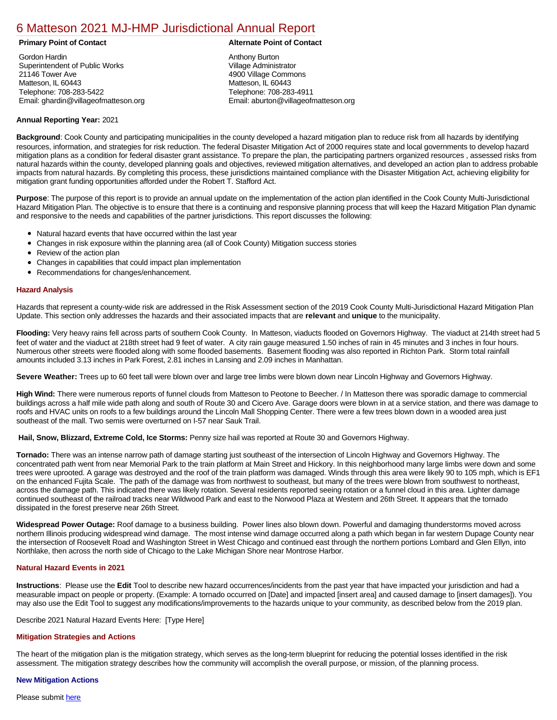# [6 Matteson 2021 MJ-HMP Jurisdictional Annual Report](https://matteson.isc-cemp.com/Cemp/Details?id=8322849)

Gordon Hardin Superintendent of Public Works 21146 Tower Ave Matteson, IL 60443 Telephone: 708-283-5422 Email: ghardin@villageofmatteson.org

# **Primary Point of Contact Alternate Point of Contact**

Anthony Burton Village Administrator 4900 Village Commons Matteson, IL 60443 Telephone: 708-283-4911 Email: aburton@villageofmatteson.org

# **Annual Reporting Year:** 2021

**Background**: Cook County and participating municipalities in the county developed a hazard mitigation plan to reduce risk from all hazards by identifying resources, information, and strategies for risk reduction. The federal Disaster Mitigation Act of 2000 requires state and local governments to develop hazard mitigation plans as a condition for federal disaster grant assistance. To prepare the plan, the participating partners organized resources , assessed risks from natural hazards within the county, developed planning goals and objectives, reviewed mitigation alternatives, and developed an action plan to address probable impacts from natural hazards. By completing this process, these jurisdictions maintained compliance with the Disaster Mitigation Act, achieving eligibility for mitigation grant funding opportunities afforded under the Robert T. Stafford Act.

**Purpose**: The purpose of this report is to provide an annual update on the implementation of the action plan identified in the Cook County Multi-Jurisdictional Hazard Mitigation Plan. The objective is to ensure that there is a continuing and responsive planning process that will keep the Hazard Mitigation Plan dynamic and responsive to the needs and capabilities of the partner jurisdictions. This report discusses the following:

- Natural hazard events that have occurred within the last year
- Changes in risk exposure within the planning area (all of Cook County) Mitigation success stories
- $\bullet$ Review of the action plan
- Changes in capabilities that could impact plan implementation
- Recommendations for changes/enhancement.

# **Hazard Analysis**

Hazards that represent a county-wide risk are addressed in the Risk Assessment section of the 2019 Cook County Multi-Jurisdictional Hazard Mitigation Plan Update. This section only addresses the hazards and their associated impacts that are **relevant** and **unique** to the municipality.

**Flooding:** Very heavy rains fell across parts of southern Cook County. In Matteson, viaducts flooded on Governors Highway. The viaduct at 214th street had 5 feet of water and the viaduct at 218th street had 9 feet of water. A city rain gauge measured 1.50 inches of rain in 45 minutes and 3 inches in four hours. Numerous other streets were flooded along with some flooded basements. Basement flooding was also reported in Richton Park. Storm total rainfall amounts included 3.13 inches in Park Forest, 2.81 inches in Lansing and 2.09 inches in Manhattan.

**Severe Weather:** Trees up to 60 feet tall were blown over and large tree limbs were blown down near Lincoln Highway and Governors Highway.

**High Wind:** There were numerous reports of funnel clouds from Matteson to Peotone to Beecher. / In Matteson there was sporadic damage to commercial buildings across a half mile wide path along and south of Route 30 and Cicero Ave. Garage doors were blown in at a service station, and there was damage to roofs and HVAC units on roofs to a few buildings around the Lincoln Mall Shopping Center. There were a few trees blown down in a wooded area just southeast of the mall. Two semis were overturned on I-57 near Sauk Trail.

 **Hail, Snow, Blizzard, Extreme Cold, Ice Storms:** Penny size hail was reported at Route 30 and Governors Highway.

**Tornado:** There was an intense narrow path of damage starting just southeast of the intersection of Lincoln Highway and Governors Highway. The concentrated path went from near Memorial Park to the train platform at Main Street and Hickory. In this neighborhood many large limbs were down and some trees were uprooted. A garage was destroyed and the roof of the train platform was damaged. Winds through this area were likely 90 to 105 mph, which is EF1 on the enhanced Fujita Scale. The path of the damage was from northwest to southeast, but many of the trees were blown from southwest to northeast, across the damage path. This indicated there was likely rotation. Several residents reported seeing rotation or a funnel cloud in this area. Lighter damage continued southeast of the railroad tracks near Wildwood Park and east to the Norwood Plaza at Western and 26th Street. It appears that the tornado dissipated in the forest preserve near 26th Street.

**Widespread Power Outage:** Roof damage to a business building. Power lines also blown down. Powerful and damaging thunderstorms moved across northern Illinois producing widespread wind damage. The most intense wind damage occurred along a path which began in far western Dupage County near the intersection of Roosevelt Road and Washington Street in West Chicago and continued east through the northern portions Lombard and Glen Ellyn, into Northlake, then across the north side of Chicago to the Lake Michigan Shore near Montrose Harbor.

# **Natural Hazard Events in 2021**

**Instructions**: Please use the **Edit** Tool to describe new hazard occurrences/incidents from the past year that have impacted your jurisdiction and had a measurable impact on people or property. (Example: A tornado occurred on [Date] and impacted [insert area] and caused damage to [insert damages]). You may also use the Edit Tool to suggest any modifications/improvements to the hazards unique to your community, as described below from the 2019 plan.

### Describe 2021 Natural Hazard Events Here: [Type Here]

### **Mitigation Strategies and Actions**

The heart of the mitigation plan is the mitigation strategy, which serves as the long-term blueprint for reducing the potential losses identified in the risk assessment. The mitigation strategy describes how the community will accomplish the overall purpose, or mission, of the planning process.

### **New Mitigation Actions**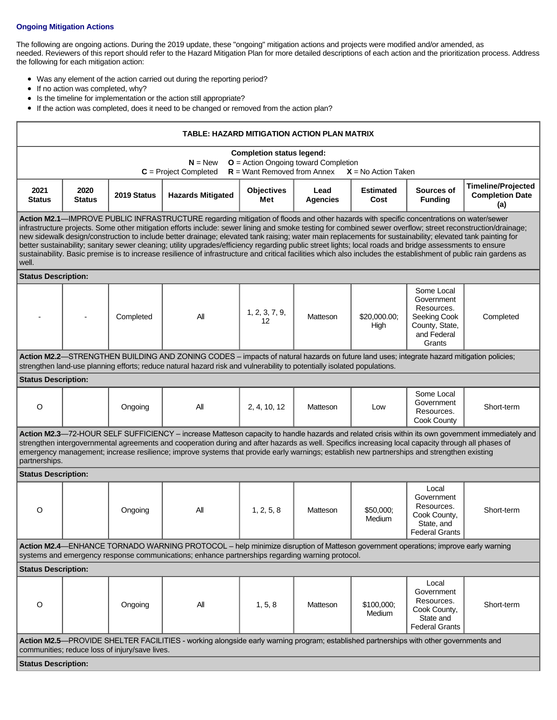# **Ongoing Mitigation Actions**

The following are ongoing actions. During the 2019 update, these "ongoing" mitigation actions and projects were modified and/or amended, as needed. Reviewers of this report should refer to the Hazard Mitigation Plan for more detailed descriptions of each action and the prioritization process. Address the following for each mitigation action:

- Was any element of the action carried out during the reporting period?
- If no action was completed, why?
- $\bullet$ Is the timeline for implementation or the action still appropriate?
- If the action was completed, does it need to be changed or removed from the action plan?

| TABLE: HAZARD MITIGATION ACTION PLAN MATRIX                                                                                                                                                                                                                                                                                                                                                                                                                                                                                                                                                                                                                                                                                                                                                                   |                       |             |                                                                                                                                                                                                                                                                     |                          |                         |                          |                                                                                                   |                                                            |
|---------------------------------------------------------------------------------------------------------------------------------------------------------------------------------------------------------------------------------------------------------------------------------------------------------------------------------------------------------------------------------------------------------------------------------------------------------------------------------------------------------------------------------------------------------------------------------------------------------------------------------------------------------------------------------------------------------------------------------------------------------------------------------------------------------------|-----------------------|-------------|---------------------------------------------------------------------------------------------------------------------------------------------------------------------------------------------------------------------------------------------------------------------|--------------------------|-------------------------|--------------------------|---------------------------------------------------------------------------------------------------|------------------------------------------------------------|
| <b>Completion status legend:</b><br>$N = New$<br>$O =$ Action Ongoing toward Completion<br>$R =$ Want Removed from Annex<br>$C = Project Completed$<br>$X = No$ Action Taken                                                                                                                                                                                                                                                                                                                                                                                                                                                                                                                                                                                                                                  |                       |             |                                                                                                                                                                                                                                                                     |                          |                         |                          |                                                                                                   |                                                            |
| 2021<br><b>Status</b>                                                                                                                                                                                                                                                                                                                                                                                                                                                                                                                                                                                                                                                                                                                                                                                         | 2020<br><b>Status</b> | 2019 Status | <b>Hazards Mitigated</b>                                                                                                                                                                                                                                            | <b>Objectives</b><br>Met | Lead<br><b>Agencies</b> | <b>Estimated</b><br>Cost | Sources of<br><b>Funding</b>                                                                      | <b>Timeline/Projected</b><br><b>Completion Date</b><br>(a) |
| Action M2.1-IMPROVE PUBLIC INFRASTRUCTURE regarding mitigation of floods and other hazards with specific concentrations on water/sewer<br>infrastructure projects. Some other mitigation efforts include: sewer lining and smoke testing for combined sewer overflow; street reconstruction/drainage;<br>new sidewalk design/construction to include better drainage; elevated tank raising; water main replacements for sustainability; elevated tank painting for<br>better sustainability; sanitary sewer cleaning; utility upgrades/efficiency regarding public street lights; local roads and bridge assessments to ensure<br>sustainability. Basic premise is to increase resilience of infrastructure and critical facilities which also includes the establishment of public rain gardens as<br>well. |                       |             |                                                                                                                                                                                                                                                                     |                          |                         |                          |                                                                                                   |                                                            |
| <b>Status Description:</b>                                                                                                                                                                                                                                                                                                                                                                                                                                                                                                                                                                                                                                                                                                                                                                                    |                       |             |                                                                                                                                                                                                                                                                     |                          |                         |                          |                                                                                                   |                                                            |
|                                                                                                                                                                                                                                                                                                                                                                                                                                                                                                                                                                                                                                                                                                                                                                                                               |                       | Completed   | All                                                                                                                                                                                                                                                                 | 1, 2, 3, 7, 9,<br>12     | Matteson                | \$20,000.00;<br>High     | Some Local<br>Government<br>Resources.<br>Seeking Cook<br>County, State,<br>and Federal<br>Grants | Completed                                                  |
|                                                                                                                                                                                                                                                                                                                                                                                                                                                                                                                                                                                                                                                                                                                                                                                                               |                       |             | Action M2.2—STRENGTHEN BUILDING AND ZONING CODES - impacts of natural hazards on future land uses; integrate hazard mitigation policies;<br>strengthen land-use planning efforts; reduce natural hazard risk and vulnerability to potentially isolated populations. |                          |                         |                          |                                                                                                   |                                                            |
| <b>Status Description:</b>                                                                                                                                                                                                                                                                                                                                                                                                                                                                                                                                                                                                                                                                                                                                                                                    |                       |             |                                                                                                                                                                                                                                                                     |                          |                         |                          |                                                                                                   |                                                            |
| $\circ$                                                                                                                                                                                                                                                                                                                                                                                                                                                                                                                                                                                                                                                                                                                                                                                                       |                       | Ongoing     | All                                                                                                                                                                                                                                                                 | 2, 4, 10, 12             | Matteson                | Low                      | Some Local<br>Government<br>Resources.<br>Cook County                                             | Short-term                                                 |
| Action M2.3-72-HOUR SELF SUFFICIENCY - increase Matteson capacity to handle hazards and related crisis within its own government immediately and<br>strengthen intergovernmental agreements and cooperation during and after hazards as well. Specifics increasing local capacity through all phases of<br>emergency management; increase resilience; improve systems that provide early warnings; establish new partnerships and strengthen existing<br>partnerships.                                                                                                                                                                                                                                                                                                                                        |                       |             |                                                                                                                                                                                                                                                                     |                          |                         |                          |                                                                                                   |                                                            |
| <b>Status Description:</b>                                                                                                                                                                                                                                                                                                                                                                                                                                                                                                                                                                                                                                                                                                                                                                                    |                       |             |                                                                                                                                                                                                                                                                     |                          |                         |                          |                                                                                                   |                                                            |
| O                                                                                                                                                                                                                                                                                                                                                                                                                                                                                                                                                                                                                                                                                                                                                                                                             |                       | Ongoing     | All                                                                                                                                                                                                                                                                 | 1, 2, 5, 8               | Matteson                | \$50,000:<br>Medium      | Local<br>Government<br>Resources.<br>Cook County,<br>State, and<br><b>Federal Grants</b>          | Short-term                                                 |
| Action M2.4—ENHANCE TORNADO WARNING PROTOCOL - help minimize disruption of Matteson government operations; improve early warning<br>systems and emergency response communications; enhance partnerships regarding warning protocol.                                                                                                                                                                                                                                                                                                                                                                                                                                                                                                                                                                           |                       |             |                                                                                                                                                                                                                                                                     |                          |                         |                          |                                                                                                   |                                                            |
| <b>Status Description:</b>                                                                                                                                                                                                                                                                                                                                                                                                                                                                                                                                                                                                                                                                                                                                                                                    |                       |             |                                                                                                                                                                                                                                                                     |                          |                         |                          |                                                                                                   |                                                            |
| O                                                                                                                                                                                                                                                                                                                                                                                                                                                                                                                                                                                                                                                                                                                                                                                                             |                       | Ongoing     | All                                                                                                                                                                                                                                                                 | 1, 5, 8                  | Matteson                | \$100,000;<br>Medium     | Local<br>Government<br>Resources.<br>Cook County,<br>State and<br><b>Federal Grants</b>           | Short-term                                                 |
| Action M2.5-PROVIDE SHELTER FACILITIES - working alongside early warning program; established partnerships with other governments and<br>communities; reduce loss of injury/save lives.                                                                                                                                                                                                                                                                                                                                                                                                                                                                                                                                                                                                                       |                       |             |                                                                                                                                                                                                                                                                     |                          |                         |                          |                                                                                                   |                                                            |
| <b>Status Description:</b>                                                                                                                                                                                                                                                                                                                                                                                                                                                                                                                                                                                                                                                                                                                                                                                    |                       |             |                                                                                                                                                                                                                                                                     |                          |                         |                          |                                                                                                   |                                                            |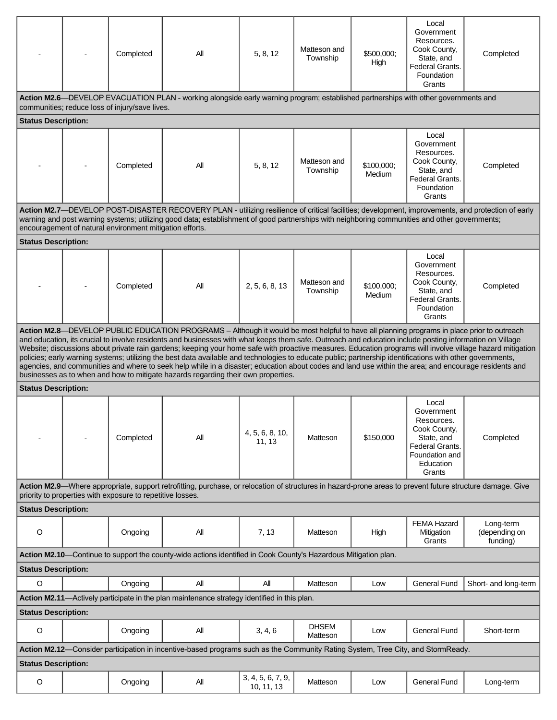|                                                                                                                                                                                                                                                                                                                                                                                                                                                                                                                                                                                                                                                                                                                                                                                                                                                                                 |  | Completed | All                                                                                                                             | 5, 8, 12                        | Matteson and<br>Township | \$500,000;<br>High   | Local<br>Government<br>Resources.<br>Cook County,<br>State, and<br>Federal Grants.<br>Foundation<br>Grants                  | Completed                              |  |  |
|---------------------------------------------------------------------------------------------------------------------------------------------------------------------------------------------------------------------------------------------------------------------------------------------------------------------------------------------------------------------------------------------------------------------------------------------------------------------------------------------------------------------------------------------------------------------------------------------------------------------------------------------------------------------------------------------------------------------------------------------------------------------------------------------------------------------------------------------------------------------------------|--|-----------|---------------------------------------------------------------------------------------------------------------------------------|---------------------------------|--------------------------|----------------------|-----------------------------------------------------------------------------------------------------------------------------|----------------------------------------|--|--|
| Action M2.6—DEVELOP EVACUATION PLAN - working alongside early warning program; established partnerships with other governments and<br>communities; reduce loss of injury/save lives.                                                                                                                                                                                                                                                                                                                                                                                                                                                                                                                                                                                                                                                                                            |  |           |                                                                                                                                 |                                 |                          |                      |                                                                                                                             |                                        |  |  |
| <b>Status Description:</b>                                                                                                                                                                                                                                                                                                                                                                                                                                                                                                                                                                                                                                                                                                                                                                                                                                                      |  |           |                                                                                                                                 |                                 |                          |                      |                                                                                                                             |                                        |  |  |
|                                                                                                                                                                                                                                                                                                                                                                                                                                                                                                                                                                                                                                                                                                                                                                                                                                                                                 |  | Completed | All                                                                                                                             | 5, 8, 12                        | Matteson and<br>Township | \$100,000:<br>Medium | Local<br>Government<br>Resources.<br>Cook County,<br>State, and<br>Federal Grants.<br>Foundation<br>Grants                  | Completed                              |  |  |
| Action M2.7—DEVELOP POST-DISASTER RECOVERY PLAN - utilizing resilience of critical facilities; development, improvements, and protection of early<br>warning and post warning systems; utilizing good data; establishment of good partnerships with neighboring communities and other governments;<br>encouragement of natural environment mitigation efforts.                                                                                                                                                                                                                                                                                                                                                                                                                                                                                                                  |  |           |                                                                                                                                 |                                 |                          |                      |                                                                                                                             |                                        |  |  |
| <b>Status Description:</b>                                                                                                                                                                                                                                                                                                                                                                                                                                                                                                                                                                                                                                                                                                                                                                                                                                                      |  |           |                                                                                                                                 |                                 |                          |                      |                                                                                                                             |                                        |  |  |
|                                                                                                                                                                                                                                                                                                                                                                                                                                                                                                                                                                                                                                                                                                                                                                                                                                                                                 |  | Completed | All                                                                                                                             | 2, 5, 6, 8, 13                  | Matteson and<br>Township | \$100,000;<br>Medium | Local<br>Government<br>Resources.<br>Cook County,<br>State, and<br>Federal Grants.<br>Foundation<br>Grants                  | Completed                              |  |  |
| Action M2.8-DEVELOP PUBLIC EDUCATION PROGRAMS - Although it would be most helpful to have all planning programs in place prior to outreach<br>and education, its crucial to involve residents and businesses with what keeps them safe. Outreach and education include posting information on Village<br>Website; discussions about private rain gardens; keeping your home safe with proactive measures. Education programs will involve village hazard mitigation<br>policies; early warning systems; utilizing the best data available and technologies to educate public; partnership identifications with other governments,<br>agencies, and communities and where to seek help while in a disaster; education about codes and land use within the area; and encourage residents and<br>businesses as to when and how to mitigate hazards regarding their own properties. |  |           |                                                                                                                                 |                                 |                          |                      |                                                                                                                             |                                        |  |  |
| <b>Status Description:</b>                                                                                                                                                                                                                                                                                                                                                                                                                                                                                                                                                                                                                                                                                                                                                                                                                                                      |  |           |                                                                                                                                 |                                 |                          |                      |                                                                                                                             |                                        |  |  |
|                                                                                                                                                                                                                                                                                                                                                                                                                                                                                                                                                                                                                                                                                                                                                                                                                                                                                 |  | Completed | All                                                                                                                             | 4, 5, 6, 8, 10,<br>11, 13       | Matteson                 | \$150,000            | Local<br>Government<br>Resources.<br>Cook County,<br>State, and<br>Federal Grants.<br>Foundation and<br>Education<br>Grants | Completed                              |  |  |
| Action M2.9-Where appropriate, support retrofitting, purchase, or relocation of structures in hazard-prone areas to prevent future structure damage. Give<br>priority to properties with exposure to repetitive losses.                                                                                                                                                                                                                                                                                                                                                                                                                                                                                                                                                                                                                                                         |  |           |                                                                                                                                 |                                 |                          |                      |                                                                                                                             |                                        |  |  |
| <b>Status Description:</b>                                                                                                                                                                                                                                                                                                                                                                                                                                                                                                                                                                                                                                                                                                                                                                                                                                                      |  |           |                                                                                                                                 |                                 |                          |                      |                                                                                                                             |                                        |  |  |
| O                                                                                                                                                                                                                                                                                                                                                                                                                                                                                                                                                                                                                                                                                                                                                                                                                                                                               |  | Ongoing   | All                                                                                                                             | 7, 13                           | Matteson                 | High                 | <b>FEMA Hazard</b><br>Mitigation<br>Grants                                                                                  | Long-term<br>(depending on<br>funding) |  |  |
| Action M2.10—Continue to support the county-wide actions identified in Cook County's Hazardous Mitigation plan.                                                                                                                                                                                                                                                                                                                                                                                                                                                                                                                                                                                                                                                                                                                                                                 |  |           |                                                                                                                                 |                                 |                          |                      |                                                                                                                             |                                        |  |  |
| <b>Status Description:</b>                                                                                                                                                                                                                                                                                                                                                                                                                                                                                                                                                                                                                                                                                                                                                                                                                                                      |  |           |                                                                                                                                 |                                 |                          |                      |                                                                                                                             |                                        |  |  |
| $\circ$                                                                                                                                                                                                                                                                                                                                                                                                                                                                                                                                                                                                                                                                                                                                                                                                                                                                         |  | Ongoing   | ΑIΙ                                                                                                                             | All                             | Matteson                 | Low                  | <b>General Fund</b>                                                                                                         | Short- and long-term                   |  |  |
| Action M2.11—Actively participate in the plan maintenance strategy identified in this plan.                                                                                                                                                                                                                                                                                                                                                                                                                                                                                                                                                                                                                                                                                                                                                                                     |  |           |                                                                                                                                 |                                 |                          |                      |                                                                                                                             |                                        |  |  |
| <b>Status Description:</b>                                                                                                                                                                                                                                                                                                                                                                                                                                                                                                                                                                                                                                                                                                                                                                                                                                                      |  |           |                                                                                                                                 |                                 |                          |                      |                                                                                                                             |                                        |  |  |
| $\mathsf O$                                                                                                                                                                                                                                                                                                                                                                                                                                                                                                                                                                                                                                                                                                                                                                                                                                                                     |  | Ongoing   | All                                                                                                                             | 3, 4, 6                         | <b>DHSEM</b><br>Matteson | Low                  | <b>General Fund</b>                                                                                                         | Short-term                             |  |  |
|                                                                                                                                                                                                                                                                                                                                                                                                                                                                                                                                                                                                                                                                                                                                                                                                                                                                                 |  |           | Action M2.12-Consider participation in incentive-based programs such as the Community Rating System, Tree City, and StormReady. |                                 |                          |                      |                                                                                                                             |                                        |  |  |
| <b>Status Description:</b>                                                                                                                                                                                                                                                                                                                                                                                                                                                                                                                                                                                                                                                                                                                                                                                                                                                      |  |           |                                                                                                                                 |                                 |                          |                      |                                                                                                                             |                                        |  |  |
| O                                                                                                                                                                                                                                                                                                                                                                                                                                                                                                                                                                                                                                                                                                                                                                                                                                                                               |  | Ongoing   | All                                                                                                                             | 3, 4, 5, 6, 7, 9,<br>10, 11, 13 | Matteson                 | Low                  | <b>General Fund</b>                                                                                                         | Long-term                              |  |  |